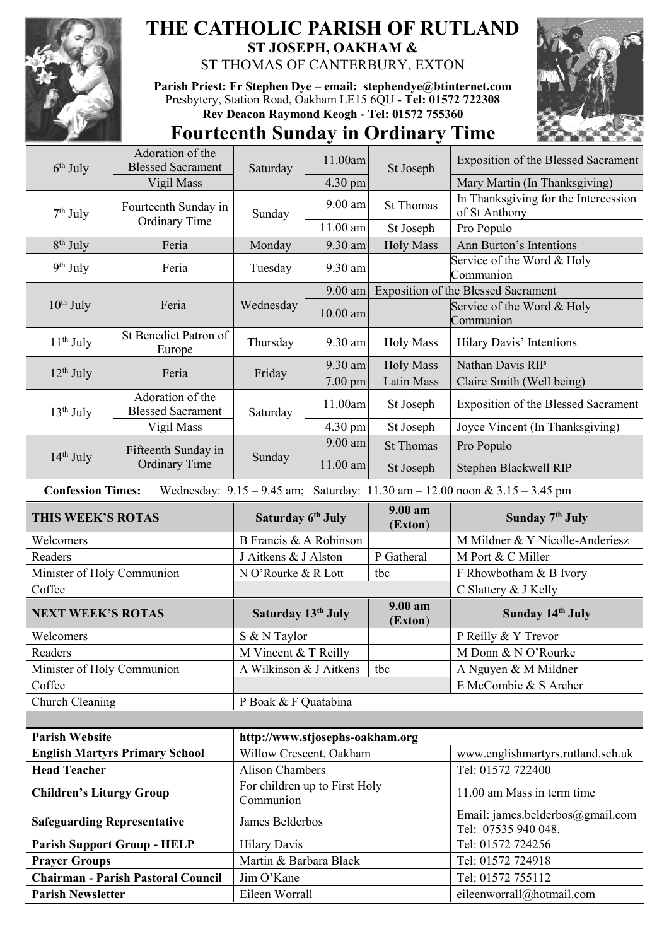

## **THE CATHOLIC PARISH OF RUTLAND ST JOSEPH, OAKHAM &**  ST THOMAS OF CANTERBURY, EXTON

**Parish Priest: Fr Stephen Dye** – **[email: stephendye@btinternet.com](mailto:email:%20%20stephendye@btinternet.com)** Presbytery, Station Road, Oakham LE15 6QU - **Tel: 01572 722308 Rev Deacon Raymond Keogh - Tel: 01572 755360**



## **Fourteenth Sunday in Ordinary Time**

| $6th$ July                                                                                                      | Adoration of the<br><b>Blessed Sacrament</b>               |                                                         | 11.00am    | St Joseph             | <b>Exposition of the Blessed Sacrament</b>            |  |
|-----------------------------------------------------------------------------------------------------------------|------------------------------------------------------------|---------------------------------------------------------|------------|-----------------------|-------------------------------------------------------|--|
|                                                                                                                 | Vigil Mass                                                 | Saturday                                                | 4.30 pm    |                       | Mary Martin (In Thanksgiving)                         |  |
| $7th$ July                                                                                                      | Fourteenth Sunday in<br><b>Ordinary Time</b>               | Sunday                                                  | $9.00$ am  | <b>St Thomas</b>      | In Thanksgiving for the Intercession<br>of St Anthony |  |
|                                                                                                                 |                                                            |                                                         | 11.00 am   | St Joseph             | Pro Populo                                            |  |
| $8th$ July                                                                                                      | Feria                                                      | Monday                                                  | 9.30 am    | <b>Holy Mass</b>      | Ann Burton's Intentions                               |  |
| $9th$ July                                                                                                      | Feria                                                      | Tuesday                                                 | 9.30 am    |                       | Service of the Word & Holy<br>Communion               |  |
| $10th$ July                                                                                                     | Feria                                                      | Wednesday                                               | 9.00 am    |                       | <b>Exposition of the Blessed Sacrament</b>            |  |
|                                                                                                                 |                                                            |                                                         | $10.00$ am |                       | Service of the Word & Holy<br>Communion               |  |
| $11th$ July                                                                                                     | St Benedict Patron of<br>Europe                            | Thursday                                                | 9.30 am    | <b>Holy Mass</b>      | Hilary Davis' Intentions                              |  |
| $12th$ July                                                                                                     | Feria                                                      | Friday                                                  | 9.30 am    | <b>Holy Mass</b>      | Nathan Davis RIP                                      |  |
|                                                                                                                 |                                                            |                                                         | 7.00 pm    | Latin Mass            | Claire Smith (Well being)                             |  |
| $13th$ July                                                                                                     | Adoration of the<br><b>Blessed Sacrament</b><br>Vigil Mass | Saturday                                                | 11.00am    | St Joseph             | <b>Exposition of the Blessed Sacrament</b>            |  |
|                                                                                                                 |                                                            |                                                         | 4.30 pm    | St Joseph             | Joyce Vincent (In Thanksgiving)                       |  |
| $14th$ July                                                                                                     | Fifteenth Sunday in<br><b>Ordinary Time</b>                | Sunday                                                  | $9.00$ am  | <b>St Thomas</b>      | Pro Populo                                            |  |
|                                                                                                                 |                                                            |                                                         | 11.00 am   | St Joseph             | Stephen Blackwell RIP                                 |  |
| Wednesday: $9.15 - 9.45$ am; Saturday: $11.30$ am $- 12.00$ noon & $3.15 - 3.45$ pm<br><b>Confession Times:</b> |                                                            |                                                         |            |                       |                                                       |  |
| <b>THIS WEEK'S ROTAS</b>                                                                                        |                                                            | Saturday 6th July                                       |            | $9.00 a$ m            | Sunday 7 <sup>th</sup> July                           |  |
|                                                                                                                 |                                                            |                                                         |            | (Exton)               |                                                       |  |
| Welcomers                                                                                                       |                                                            | B Francis & A Robinson                                  |            |                       | M Mildner & Y Nicolle-Anderiesz                       |  |
| Readers                                                                                                         |                                                            | J Aitkens & J Alston                                    |            | P Gatheral            | M Port & C Miller                                     |  |
| Minister of Holy Communion                                                                                      |                                                            | N O'Rourke & R Lott                                     |            | tbc                   | F Rhowbotham & B Ivory                                |  |
| Coffee                                                                                                          |                                                            |                                                         |            |                       | C Slattery & J Kelly                                  |  |
| <b>NEXT WEEK'S ROTAS</b>                                                                                        |                                                            | Saturday 13th July                                      |            | $9.00 a$ m<br>(Exton) | Sunday 14th July                                      |  |
| Welcomers                                                                                                       |                                                            | S & N Taylor                                            |            |                       | P Reilly & Y Trevor                                   |  |
| Readers                                                                                                         |                                                            | M Vincent & T Reilly                                    |            |                       | M Donn & N O'Rourke                                   |  |
| Minister of Holy Communion                                                                                      |                                                            | A Wilkinson & J Aitkens                                 |            | tbc                   | A Nguyen & M Mildner                                  |  |
| Coffee                                                                                                          |                                                            |                                                         |            |                       | E McCombie & S Archer                                 |  |
| Church Cleaning                                                                                                 |                                                            | P Boak & F Quatabina                                    |            |                       |                                                       |  |
|                                                                                                                 |                                                            |                                                         |            |                       |                                                       |  |
| <b>Parish Website</b>                                                                                           |                                                            | http://www.stjosephs-oakham.org                         |            |                       |                                                       |  |
|                                                                                                                 | <b>English Martyrs Primary School</b>                      | Willow Crescent, Oakham                                 |            |                       | www.englishmartyrs.rutland.sch.uk                     |  |
| <b>Head Teacher</b><br><b>Children's Liturgy Group</b>                                                          |                                                            | <b>Alison Chambers</b><br>For children up to First Holy |            |                       | Tel: 01572 722400<br>11.00 am Mass in term time       |  |
| <b>Safeguarding Representative</b>                                                                              |                                                            | Communion<br>James Belderbos                            |            |                       | Email: james.belderbos@gmail.com                      |  |
|                                                                                                                 | <b>Parish Support Group - HELP</b>                         | <b>Hilary Davis</b>                                     |            |                       | Tel: 07535 940 048.<br>Tel: 01572 724256              |  |
| <b>Prayer Groups</b>                                                                                            |                                                            | Martin & Barbara Black                                  |            |                       | Tel: 01572 724918                                     |  |
|                                                                                                                 | <b>Chairman - Parish Pastoral Council</b>                  | Jim O'Kane                                              |            |                       | Tel: 01572 755112                                     |  |